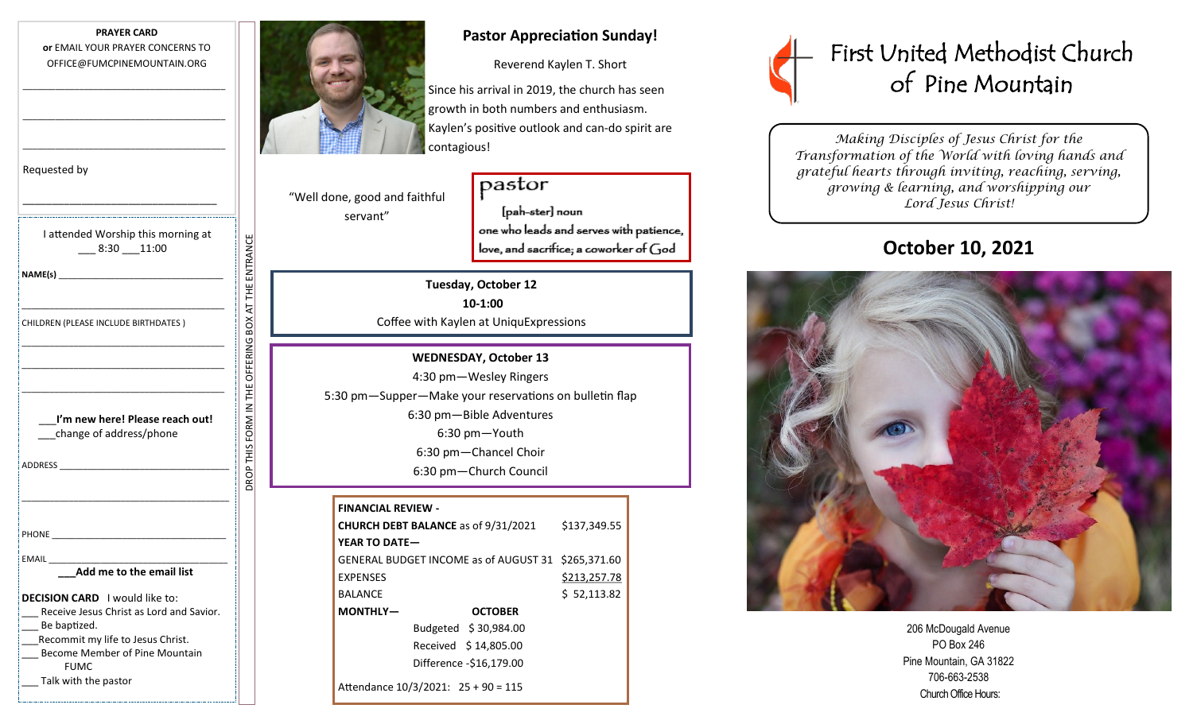

\_\_\_\_\_\_\_\_\_\_\_\_\_\_\_\_\_\_\_\_\_\_\_\_\_\_\_\_\_\_\_\_\_\_\_\_\_\_\_\_\_\_\_

\_\_\_\_\_\_\_\_\_\_\_\_\_\_\_\_\_\_\_\_\_\_\_\_\_\_\_\_\_\_\_\_\_\_\_\_\_\_\_\_\_\_\_

| Requested by                                                                                                   |                      |
|----------------------------------------------------------------------------------------------------------------|----------------------|
|                                                                                                                |                      |
| I attended Worship this morning at<br>$-8:30 - 11:00$                                                          |                      |
|                                                                                                                |                      |
|                                                                                                                | FHE E<br>F           |
|                                                                                                                |                      |
| CHILDREN (PLEASE INCLUDE BIRTHDATES)                                                                           |                      |
|                                                                                                                |                      |
|                                                                                                                |                      |
|                                                                                                                |                      |
| I'm new here! Please reach out!<br>change of address/phone                                                     | <b>ROP THIS FORM</b> |
| ADDRESS AND THE STATE OF THE STATE OF THE STATE OF THE STATE OF THE STATE OF THE STATE OF THE STATE OF THE STA |                      |
|                                                                                                                |                      |
|                                                                                                                |                      |
|                                                                                                                |                      |
| EMAIL                                                                                                          |                      |
| Add me to the email list                                                                                       |                      |
| <b>DECISION CARD</b> I would like to:                                                                          |                      |
| Receive Jesus Christ as Lord and Savior.                                                                       |                      |
| Be baptized.                                                                                                   |                      |
| Recommit my life to Jesus Christ.                                                                              |                      |

DROP THIS FORM IN THE OFFERING BOX AT THE ENTRANCE

\_\_\_ Become Member of Pine Mountain FUMC

Talk with the pastor



# **Pastor Appreciation Sunday!**

Reverend Kaylen T. Short

Since his arrival in 2019, the church has seen growth in both numbers and enthusiasm. Kaylen's positive outlook and can-do spirit are contagious!

"Well done, good and faithful servant"

pastor [pah-ster] noun one who leads and serves with patience, love, and sacrifice; a coworker of God

#### **Tuesday, October 12**

**10-1:00** Coffee with Kaylen at UniquExpressions

### **WEDNESDAY, October 13**

4:30 pm—Wesley Ringers 5:30 pm—Supper—Make your reservations on bulletin flap 6:30 pm—Bible Adventures 6:30 pm—Youth 6:30 pm—Chancel Choir 6:30 pm—Church Council

| <b>FINANCIAL REVIEW -</b>                                    |                      |              |
|--------------------------------------------------------------|----------------------|--------------|
| \$137,349.55<br><b>CHURCH DEBT BALANCE</b> as of 9/31/2021   |                      |              |
| YEAR TO DATE-                                                |                      |              |
| \$265,371.60<br><b>GENERAL BUDGET INCOME as of AUGUST 31</b> |                      |              |
| <b>EXPENSES</b>                                              |                      | \$213,257.78 |
| <b>BALANCE</b>                                               |                      | \$52,113.82  |
| MONTHLY-                                                     | <b>OCTOBER</b>       |              |
|                                                              | Budgeted \$30,984.00 |              |
| Received \$14,805.00                                         |                      |              |
| Difference -\$16,179.00                                      |                      |              |
| Attendance 10/3/2021: 25 + 90 = 115                          |                      |              |



*Making Disciples of Jesus Christ for the Transformation of the World with loving hands and grateful hearts through inviting, reaching, serving, growing & learning, and worshipping our Lord Jesus Christ!* 

# **October 10, 2021**



206 McDougald Avenue PO Box 246 Pine Mountain, GA 31822 706-663-2538 Church Office Hours: